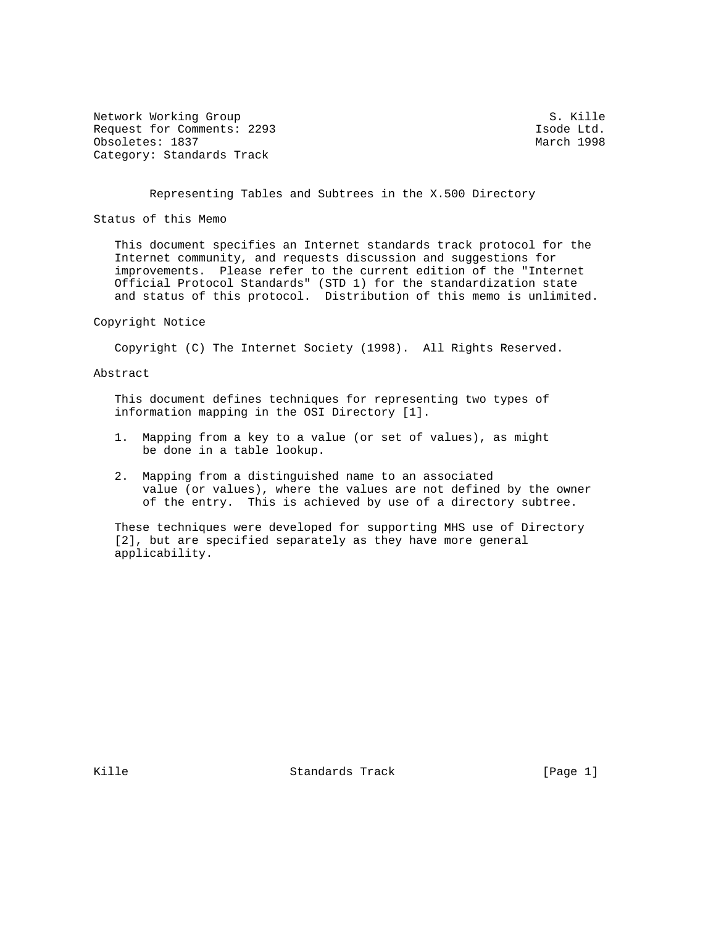Network Working Group S. Kille Request for Comments: 2293 Isode Ltd. Obsoletes: 1837 March 1998 Category: Standards Track

Representing Tables and Subtrees in the X.500 Directory

Status of this Memo

 This document specifies an Internet standards track protocol for the Internet community, and requests discussion and suggestions for improvements. Please refer to the current edition of the "Internet Official Protocol Standards" (STD 1) for the standardization state and status of this protocol. Distribution of this memo is unlimited.

## Copyright Notice

Copyright (C) The Internet Society (1998). All Rights Reserved.

## Abstract

 This document defines techniques for representing two types of information mapping in the OSI Directory [1].

- 1. Mapping from a key to a value (or set of values), as might be done in a table lookup.
- 2. Mapping from a distinguished name to an associated value (or values), where the values are not defined by the owner of the entry. This is achieved by use of a directory subtree.

 These techniques were developed for supporting MHS use of Directory [2], but are specified separately as they have more general applicability.

Kille Standards Track [Page 1]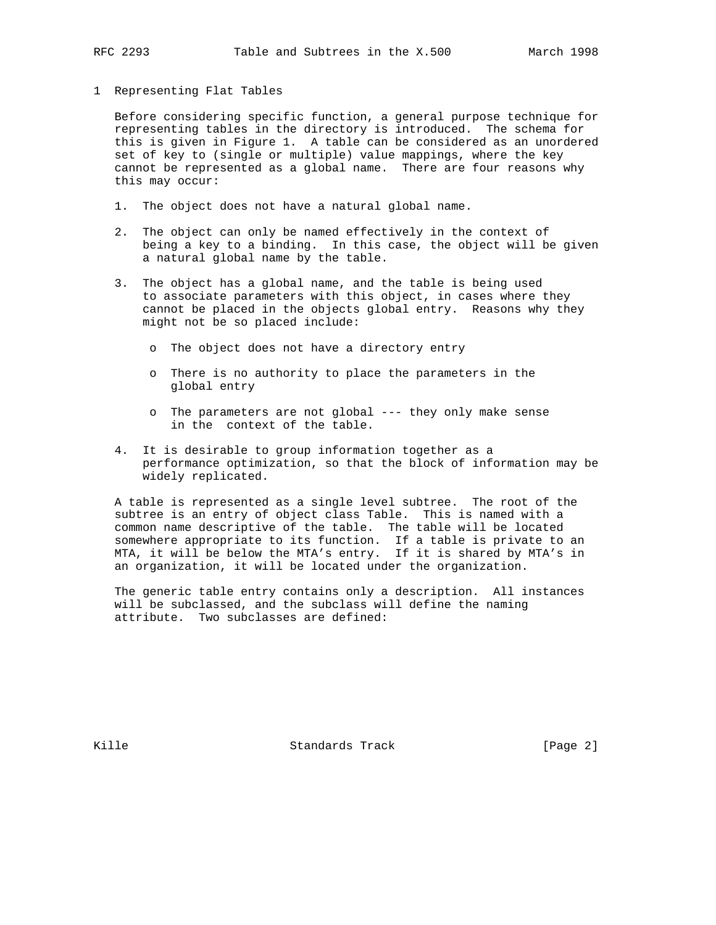## 1 Representing Flat Tables

 Before considering specific function, a general purpose technique for representing tables in the directory is introduced. The schema for this is given in Figure 1. A table can be considered as an unordered set of key to (single or multiple) value mappings, where the key cannot be represented as a global name. There are four reasons why this may occur:

- 1. The object does not have a natural global name.
- 2. The object can only be named effectively in the context of being a key to a binding. In this case, the object will be given a natural global name by the table.
- 3. The object has a global name, and the table is being used to associate parameters with this object, in cases where they cannot be placed in the objects global entry. Reasons why they might not be so placed include:
	- o The object does not have a directory entry
	- o There is no authority to place the parameters in the global entry
	- o The parameters are not global --- they only make sense in the context of the table.
- 4. It is desirable to group information together as a performance optimization, so that the block of information may be widely replicated.

 A table is represented as a single level subtree. The root of the subtree is an entry of object class Table. This is named with a common name descriptive of the table. The table will be located somewhere appropriate to its function. If a table is private to an MTA, it will be below the MTA's entry. If it is shared by MTA's in an organization, it will be located under the organization.

 The generic table entry contains only a description. All instances will be subclassed, and the subclass will define the naming attribute. Two subclasses are defined:

Kille Standards Track [Page 2]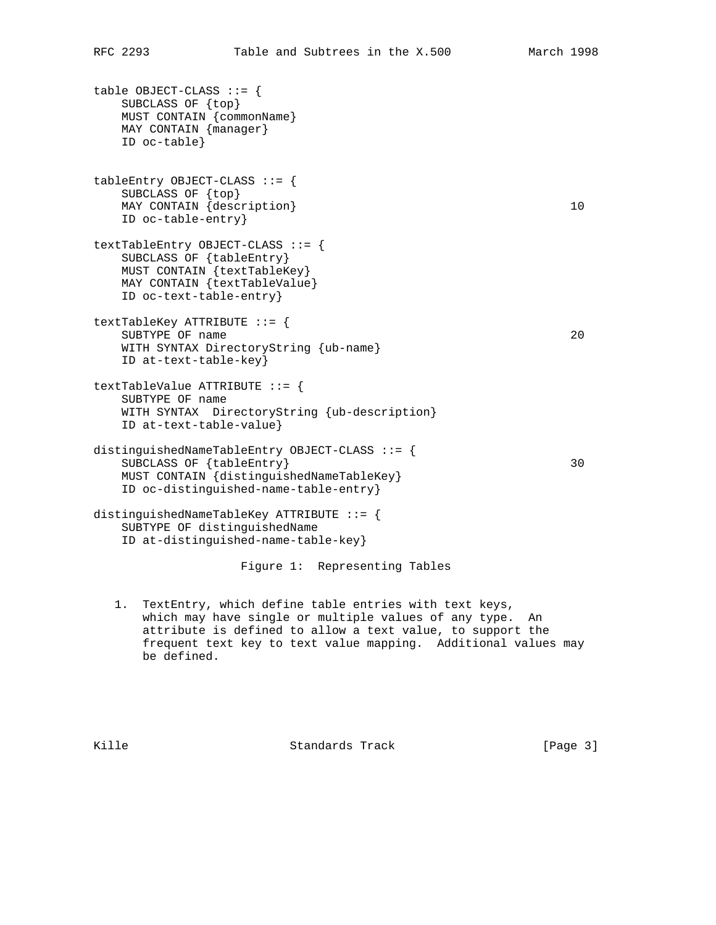```
table OBJECT-CLASS ::= {
    SUBCLASS OF {top}
    MUST CONTAIN {commonName}
    MAY CONTAIN {manager}
    ID oc-table}
tableEntry OBJECT-CLASS ::= {
    SUBCLASS OF {top}
   MAY CONTAIN {description} 10
    ID oc-table-entry}
textTableEntry OBJECT-CLASS ::= {
    SUBCLASS OF {tableEntry}
    MUST CONTAIN {textTableKey}
    MAY CONTAIN {textTableValue}
    ID oc-text-table-entry}
textTableKey ATTRIBUTE ::= {
   SUBTYPE OF name 20
    WITH SYNTAX DirectoryString {ub-name}
    ID at-text-table-key}
textTableValue ATTRIBUTE ::= {
    SUBTYPE OF name
    WITH SYNTAX DirectoryString {ub-description}
    ID at-text-table-value}
distinguishedNameTableEntry OBJECT-CLASS ::= {
   SUBCLASS OF {tableEntry} 30
    MUST CONTAIN {distinguishedNameTableKey}
    ID oc-distinguished-name-table-entry}
distinguishedNameTableKey ATTRIBUTE ::= {
    SUBTYPE OF distinguishedName
    ID at-distinguished-name-table-key}
                    Figure 1: Representing Tables
```
 1. TextEntry, which define table entries with text keys, which may have single or multiple values of any type. An attribute is defined to allow a text value, to support the frequent text key to text value mapping. Additional values may be defined.

Kille **Standards Track** [Page 3]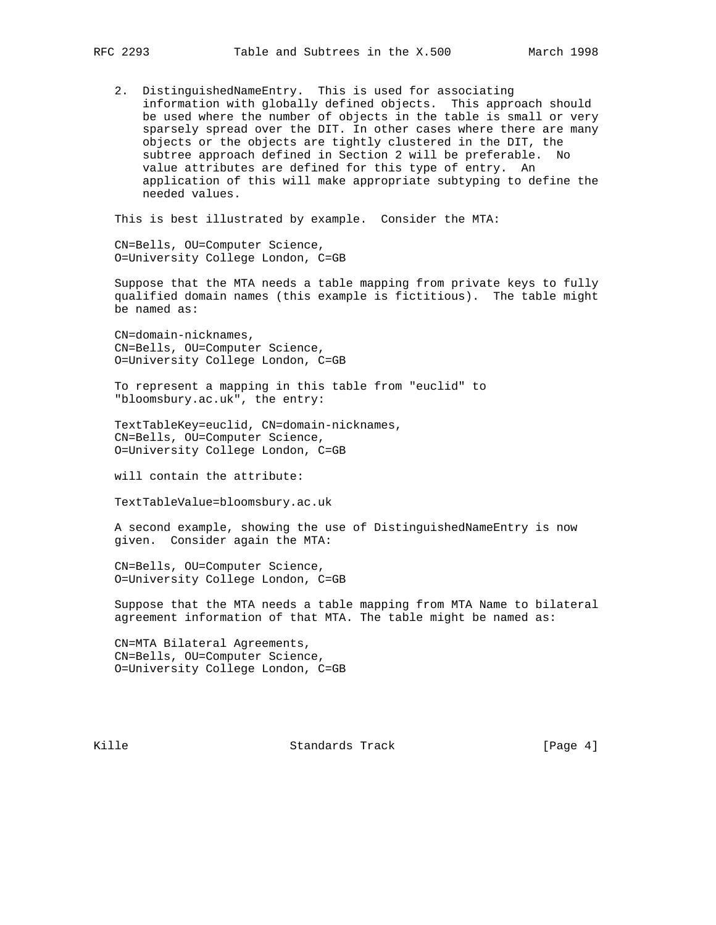2. DistinguishedNameEntry. This is used for associating information with globally defined objects. This approach should be used where the number of objects in the table is small or very sparsely spread over the DIT. In other cases where there are many objects or the objects are tightly clustered in the DIT, the subtree approach defined in Section 2 will be preferable. No value attributes are defined for this type of entry. An application of this will make appropriate subtyping to define the needed values.

This is best illustrated by example. Consider the MTA:

 CN=Bells, OU=Computer Science, O=University College London, C=GB

 Suppose that the MTA needs a table mapping from private keys to fully qualified domain names (this example is fictitious). The table might be named as:

 CN=domain-nicknames, CN=Bells, OU=Computer Science, O=University College London, C=GB

 To represent a mapping in this table from "euclid" to "bloomsbury.ac.uk", the entry:

 TextTableKey=euclid, CN=domain-nicknames, CN=Bells, OU=Computer Science, O=University College London, C=GB

will contain the attribute:

TextTableValue=bloomsbury.ac.uk

 A second example, showing the use of DistinguishedNameEntry is now given. Consider again the MTA:

 CN=Bells, OU=Computer Science, O=University College London, C=GB

 Suppose that the MTA needs a table mapping from MTA Name to bilateral agreement information of that MTA. The table might be named as:

 CN=MTA Bilateral Agreements, CN=Bells, OU=Computer Science, O=University College London, C=GB

Kille Standards Track [Page 4]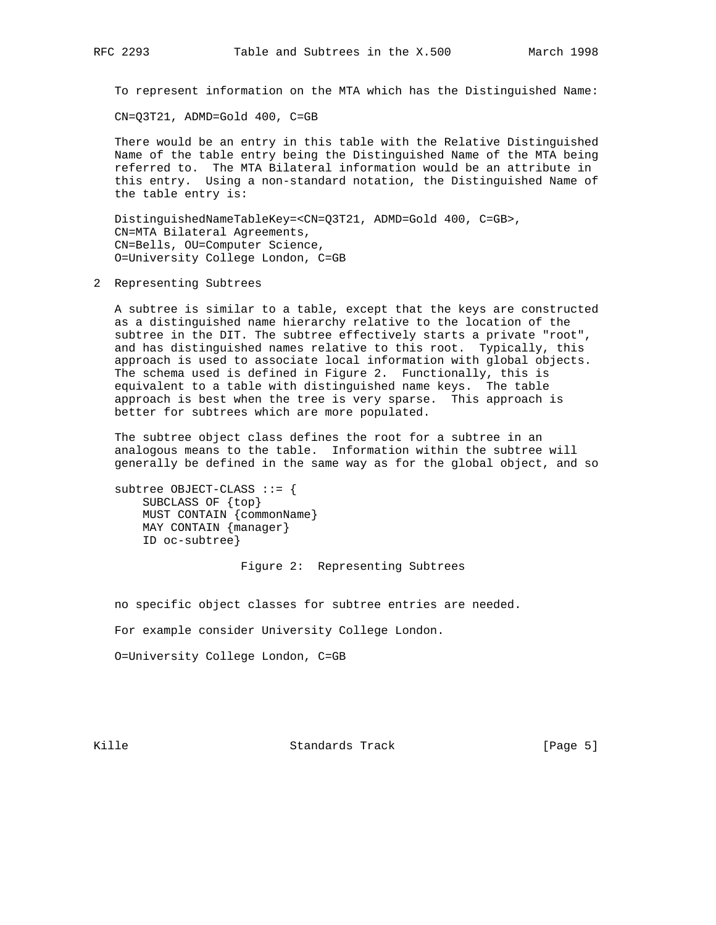To represent information on the MTA which has the Distinguished Name:

CN=Q3T21, ADMD=Gold 400, C=GB

 There would be an entry in this table with the Relative Distinguished Name of the table entry being the Distinguished Name of the MTA being referred to. The MTA Bilateral information would be an attribute in this entry. Using a non-standard notation, the Distinguished Name of the table entry is:

 DistinguishedNameTableKey=<CN=Q3T21, ADMD=Gold 400, C=GB>, CN=MTA Bilateral Agreements, CN=Bells, OU=Computer Science, O=University College London, C=GB

2 Representing Subtrees

 A subtree is similar to a table, except that the keys are constructed as a distinguished name hierarchy relative to the location of the subtree in the DIT. The subtree effectively starts a private "root", and has distinguished names relative to this root. Typically, this approach is used to associate local information with global objects. The schema used is defined in Figure 2. Functionally, this is equivalent to a table with distinguished name keys. The table approach is best when the tree is very sparse. This approach is better for subtrees which are more populated.

 The subtree object class defines the root for a subtree in an analogous means to the table. Information within the subtree will generally be defined in the same way as for the global object, and so

 subtree OBJECT-CLASS ::= { SUBCLASS OF {top} MUST CONTAIN {commonName} MAY CONTAIN {manager} ID oc-subtree}

Figure 2: Representing Subtrees

no specific object classes for subtree entries are needed.

For example consider University College London.

O=University College London, C=GB

Kille Standards Track [Page 5]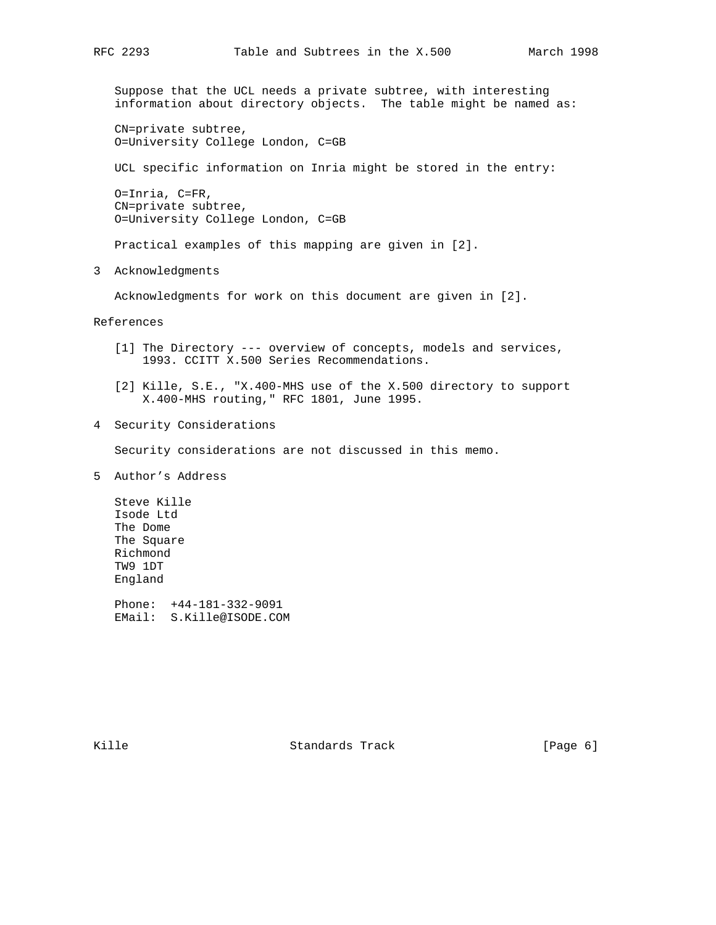Suppose that the UCL needs a private subtree, with interesting information about directory objects. The table might be named as:

 CN=private subtree, O=University College London, C=GB

UCL specific information on Inria might be stored in the entry:

 O=Inria, C=FR, CN=private subtree, O=University College London, C=GB

Practical examples of this mapping are given in [2].

3 Acknowledgments

Acknowledgments for work on this document are given in [2].

References

- [1] The Directory --- overview of concepts, models and services, 1993. CCITT X.500 Series Recommendations.
- [2] Kille, S.E., "X.400-MHS use of the X.500 directory to support X.400-MHS routing," RFC 1801, June 1995.
- 4 Security Considerations

Security considerations are not discussed in this memo.

5 Author's Address

 Steve Kille Isode Ltd The Dome The Square Richmond TW9 1DT England

 Phone: +44-181-332-9091 EMail: S.Kille@ISODE.COM

Kille Standards Track [Page 6]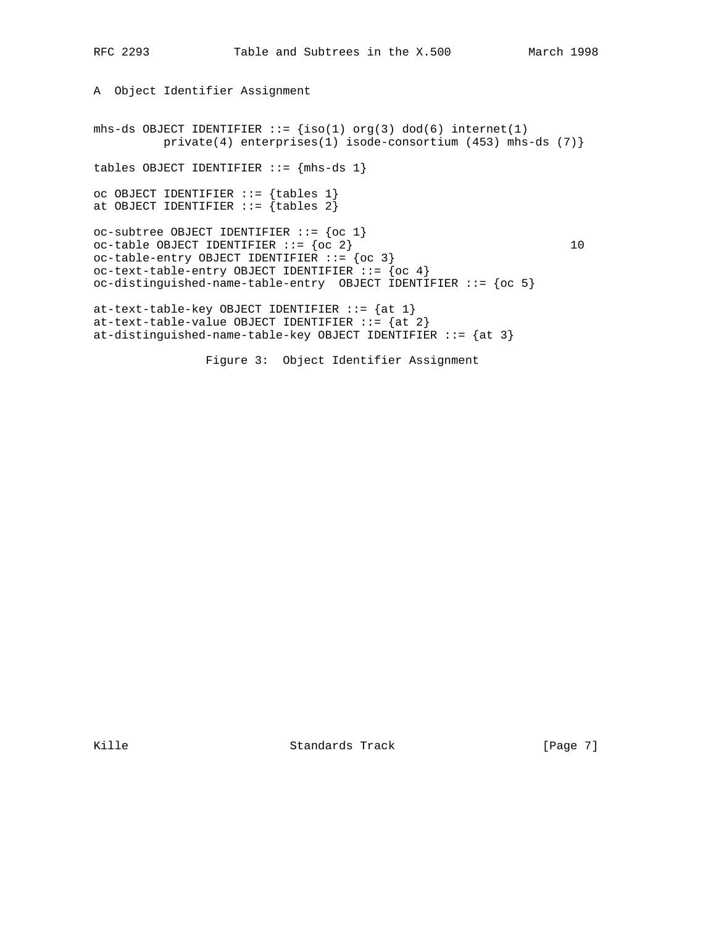```
A Object Identifier Assignment
mhs-ds OBJECT IDENTIFIER ::= {iso(1) org(3) dod(6) internet(1)
          private(4) enterprises(1) isode-consortium (453) mhs-ds (7)}
tables OBJECT IDENTIFIER ::= {mhs-ds 1}
oc OBJECT IDENTIFIER ::= {tables 1}
at OBJECT IDENTIFIER ::= {tables 2}oc-subtree OBJECT IDENTIFIER ::= {oc 1}
oc-table OBJECT IDENTIFIER ::= \{oc 2\} 10
oc-table-entry OBJECT IDENTIFIER ::= {oc 3}
oc-text-table-entry OBJECT IDENTIFIER ::= {oc 4}
oc-distinguished-name-table-entry OBJECT IDENTIFIER ::= {oc 5}
at-text-table-key OBJECT IDENTIFIER ::= \{at 1\}at-text-table-value OBJECT IDENTIFIER := \{at 2\}at-distinguished-name-table-key OBJECT IDENTIFIER ::= \{at 3\} Figure 3: Object Identifier Assignment
```
Kille Standards Track [Page 7]